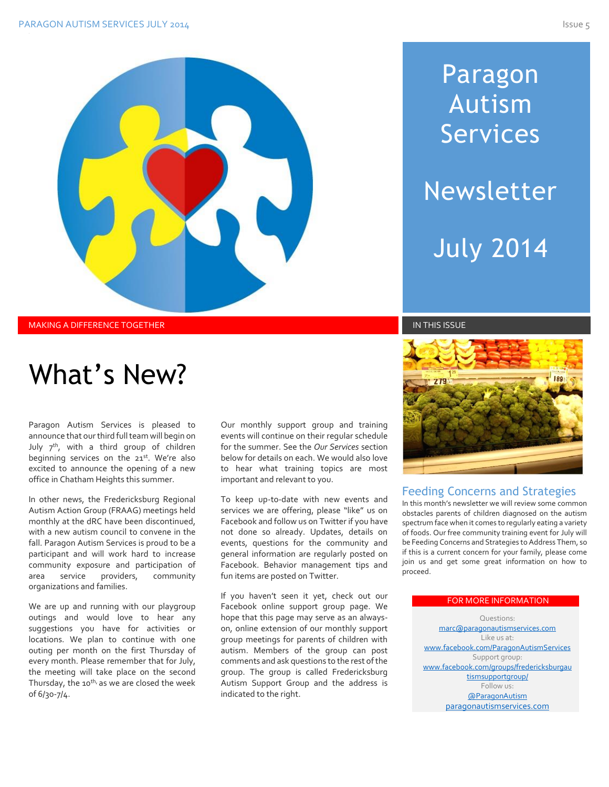

MAKING A DIFFERENCE TOGETHER IN THIS ISSUE IN THIS ISSUE IN THIS ISSUE IN THIS ISSUE IN THIS ISSUE

# What's New?

Paragon Autism Services is pleased to announce that our third full team will begin on July  $7<sup>th</sup>$ , with a third group of children beginning services on the 21st. We're also excited to announce the opening of a new office in Chatham Heights this summer.

In other news, the Fredericksburg Regional Autism Action Group (FRAAG) meetings held monthly at the dRC have been discontinued, with a new autism council to convene in the fall. Paragon Autism Services is proud to be a participant and will work hard to increase community exposure and participation of area service providers, community organizations and families.

We are up and running with our playgroup outings and would love to hear any suggestions you have for activities or locations. We plan to continue with one outing per month on the first Thursday of every month. Please remember that for July, the meeting will take place on the second Thursday, the 10<sup>th,</sup> as we are closed the week of 6/30-7/4.

Our monthly support group and training events will continue on their regular schedule for the summer. See the *Our Services* section below for details on each. We would also love to hear what training topics are most important and relevant to you.

To keep up-to-date with new events and services we are offering, please "like" us on Facebook and follow us on Twitter if you have not done so already. Updates, details on events, questions for the community and general information are regularly posted on Facebook. Behavior management tips and fun items are posted on Twitter.

If you haven't seen it yet, check out our Facebook online support group page. We hope that this page may serve as an alwayson, online extension of our monthly support group meetings for parents of children with autism. Members of the group can post comments and ask questions to the rest of the group. The group is called Fredericksburg Autism Support Group and the address is indicated to the right.

# Paragon Autism Services Newsletter July 2014



#### Feeding Concerns and Strategies

In this month's newsletter we will review some common obstacles parents of children diagnosed on the autism spectrum face when it comes to regularly eating a variety of foods. Our free community training event for July will be Feeding Concerns and Strategies to Address Them, so if this is a current concern for your family, please come join us and get some great information on how to proceed.

#### FOR MORE INFORMATION

Questions: [marc@paragonautismservices.com](mailto:marc@paragonautismservices.com)  Like us at: [www.facebook.com/ParagonAutismServices](http://www.facebook.com/ParagonAutismServices) Support group: [www.facebook.com/groups/fredericksburgau](http://www.facebook.com/groups/fredericksburgautismsupportgroup/) [tismsupportgroup/](http://www.facebook.com/groups/fredericksburgautismsupportgroup/) Follow us: [@ParagonAutism](https://twitter.com/ParagonAutism) [paragonautismservices.com](http://paragonautismservices.com/)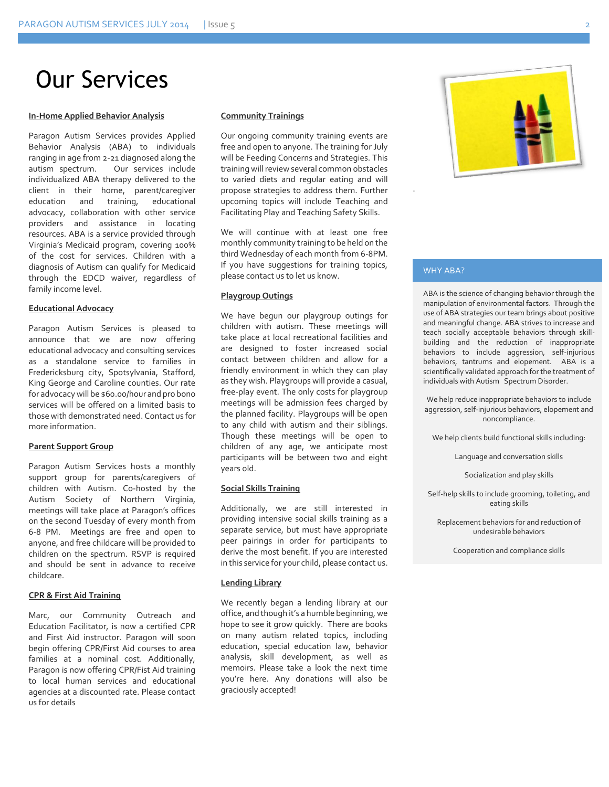### Our Services

#### **In-Home Applied Behavior Analysis**

Paragon Autism Services provides Applied Behavior Analysis (ABA) to individuals ranging in age from 2-21 diagnosed along the autism spectrum. Our services include individualized ABA therapy delivered to the client in their home, parent/caregiver education and training, educational advocacy, collaboration with other service providers and assistance in locating resources. ABA is a service provided through Virginia's Medicaid program, covering 100% of the cost for services. Children with a diagnosis of Autism can qualify for Medicaid through the EDCD waiver, regardless of family income level.

#### **Educational Advocacy**

Paragon Autism Services is pleased to announce that we are now offering educational advocacy and consulting services as a standalone service to families in Fredericksburg city, Spotsylvania, Stafford, King George and Caroline counties. Our rate for advocacy will be \$60.00/hour and pro bono services will be offered on a limited basis to those with demonstrated need. Contact us for more information.

#### **Parent Support Group**

Paragon Autism Services hosts a monthly support group for parents/caregivers of children with Autism. Co-hosted by the Autism Society of Northern Virginia, meetings will take place at Paragon's offices on the second Tuesday of every month from 6-8 PM. Meetings are free and open to anyone, and free childcare will be provided to children on the spectrum. RSVP is required and should be sent in advance to receive childcare.

#### **CPR & First Aid Training**

Marc, our Community Outreach and Education Facilitator, is now a certified CPR and First Aid instructor. Paragon will soon begin offering CPR/First Aid courses to area families at a nominal cost. Additionally, Paragon is now offering CPR/Fist Aid training to local human services and educational agencies at a discounted rate. Please contact us for details

#### **Community Trainings**

Our ongoing community training events are free and open to anyone. The training for July will be Feeding Concerns and Strategies. This training will review several common obstacles to varied diets and regular eating and will propose strategies to address them. Further upcoming topics will include Teaching and Facilitating Play and Teaching Safety Skills.

We will continue with at least one free monthly community training to be held on the third Wednesday of each month from 6-8PM. If you have suggestions for training topics, please contact us to let us know.

#### **Playgroup Outings**

We have begun our playgroup outings for children with autism. These meetings will take place at local recreational facilities and are designed to foster increased social contact between children and allow for a friendly environment in which they can play as they wish. Playgroups will provide a casual, free-play event. The only costs for playgroup meetings will be admission fees charged by the planned facility. Playgroups will be open to any child with autism and their siblings. Though these meetings will be open to children of any age, we anticipate most participants will be between two and eight years old.

#### **Social Skills Training**

Additionally, we are still interested in providing intensive social skills training as a separate service, but must have appropriate peer pairings in order for participants to derive the most benefit. If you are interested in this service for your child, please contact us.

#### **Lending Library**

We recently began a lending library at our office, and though it's a humble beginning, we hope to see it grow quickly. There are books on many autism related topics, including education, special education law, behavior analysis, skill development, as well as memoirs. Please take a look the next time you're here. Any donations will also be graciously accepted!



#### WHY ABA?

.

ABA is the science of changing behavior through the manipulation of environmental factors. Through the use of ABA strategies our team brings about positive and meaningful change. ABA strives to increase and teach socially acceptable behaviors through skillbuilding and the reduction of inappropriate behaviors to include aggression, self-injurious behaviors, tantrums and elopement. ABA is a scientifically validated approach for the treatment of individuals with Autism Spectrum Disorder.

We help reduce inappropriate behaviors to include aggression, self-injurious behaviors, elopement and noncompliance.

We help clients build functional skills including:

Language and conversation skills

Socialization and play skills

Self-help skills to include grooming, toileting, and eating skills

Replacement behaviors for and reduction of undesirable behaviors

Cooperation and compliance skills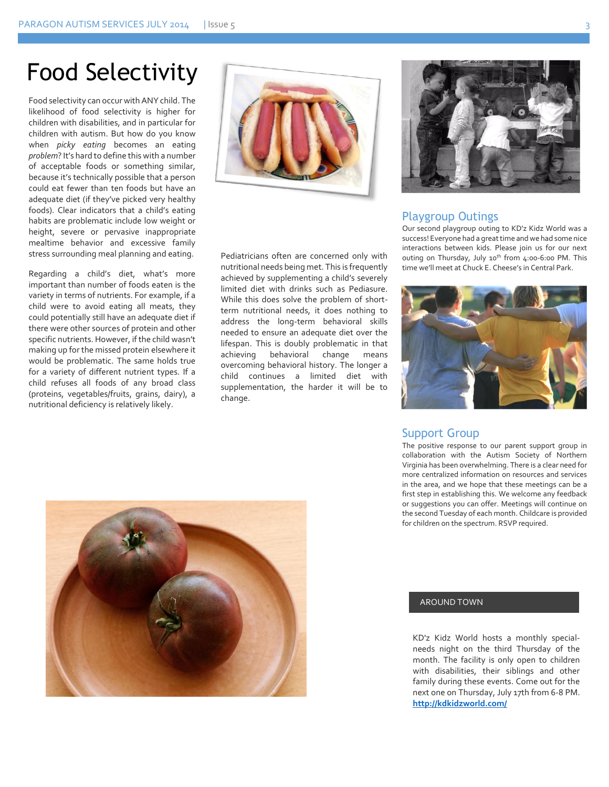### Food Selectivity

Food selectivity can occur with ANY child. The likelihood of food selectivity is higher for children with disabilities, and in particular for children with autism. But how do you know when *picky eating* becomes an eating *problem*? It's hard to define this with a number of acceptable foods or something similar, because it's technically possible that a person could eat fewer than ten foods but have an adequate diet (if they've picked very healthy foods). Clear indicators that a child's eating habits are problematic include low weight or height, severe or pervasive inappropriate mealtime behavior and excessive family stress surrounding meal planning and eating.

Regarding a child's diet, what's more important than number of foods eaten is the variety in terms of nutrients. For example, if a child were to avoid eating all meats, they could potentially still have an adequate diet if there were other sources of protein and other specific nutrients. However, if the child wasn't making up for the missed protein elsewhere it would be problematic. The same holds true for a variety of different nutrient types. If a child refuses all foods of any broad class (proteins, vegetables/fruits, grains, dairy), a nutritional deficiency is relatively likely.



Pediatricians often are concerned only with nutritional needs being met. This is frequently achieved by supplementing a child's severely limited diet with drinks such as Pediasure. While this does solve the problem of shortterm nutritional needs, it does nothing to address the long-term behavioral skills needed to ensure an adequate diet over the lifespan. This is doubly problematic in that achieving behavioral change means overcoming behavioral history. The longer a child continues a limited diet with supplementation, the harder it will be to change.



#### Playgroup Outings

Our second playgroup outing to KD'z Kidz World was a success! Everyone had a great time and we had some nice interactions between kids. Please join us for our next outing on Thursday, July 10<sup>th</sup> from 4:00-6:00 PM. This time we'll meet at Chuck E. Cheese's in Central Park.



#### Support Group

The positive response to our parent support group in collaboration with the Autism Society of Northern Virginia has been overwhelming. There is a clear need for more centralized information on resources and services in the area, and we hope that these meetings can be a first step in establishing this. We welcome any feedback or suggestions you can offer. Meetings will continue on the second Tuesday of each month. Childcare is provided for children on the spectrum. RSVP required.



#### AROUND TOWN

KD'z Kidz World hosts a monthly specialneeds night on the third Thursday of the month. The facility is only open to children with disabilities, their siblings and other family during these events. Come out for the next one on Thursday, July 17th from 6-8 PM. **<http://kdkidzworld.com/>**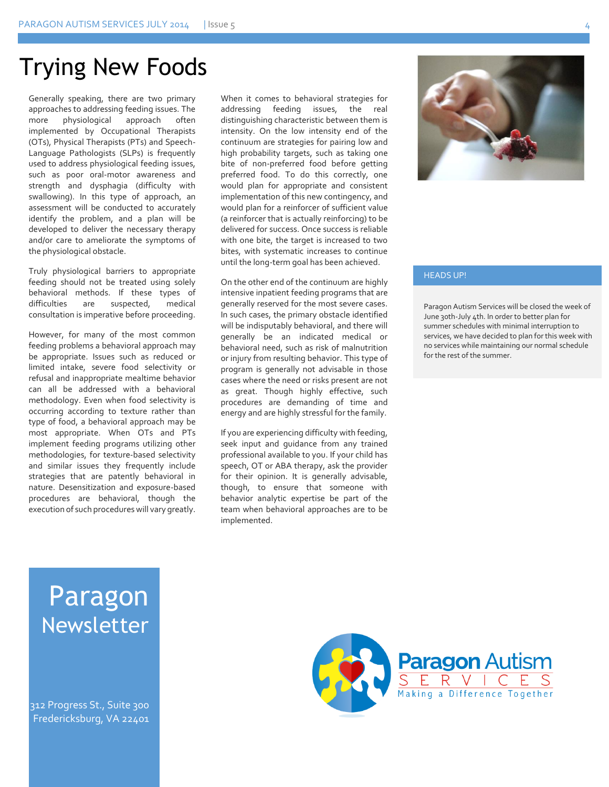### Trying New Foods

Generally speaking, there are two primary approaches to addressing feeding issues. The more physiological approach often implemented by Occupational Therapists (OTs), Physical Therapists (PTs) and Speech-Language Pathologists (SLPs) is frequently used to address physiological feeding issues, such as poor oral-motor awareness and strength and dysphagia (difficulty with swallowing). In this type of approach, an assessment will be conducted to accurately identify the problem, and a plan will be developed to deliver the necessary therapy and/or care to ameliorate the symptoms of the physiological obstacle.

Truly physiological barriers to appropriate feeding should not be treated using solely behavioral methods. If these types of difficulties are suspected, medical consultation is imperative before proceeding.

However, for many of the most common feeding problems a behavioral approach may be appropriate. Issues such as reduced or limited intake, severe food selectivity or refusal and inappropriate mealtime behavior can all be addressed with a behavioral methodology. Even when food selectivity is occurring according to texture rather than type of food, a behavioral approach may be most appropriate. When OTs and PTs implement feeding programs utilizing other methodologies, for texture-based selectivity and similar issues they frequently include strategies that are patently behavioral in nature. Desensitization and exposure-based procedures are behavioral, though the execution of such procedures will vary greatly. When it comes to behavioral strategies for addressing feeding issues, the real distinguishing characteristic between them is intensity. On the low intensity end of the continuum are strategies for pairing low and high probability targets, such as taking one bite of non-preferred food before getting preferred food. To do this correctly, one would plan for appropriate and consistent implementation of this new contingency, and would plan for a reinforcer of sufficient value (a reinforcer that is actually reinforcing) to be delivered for success. Once success is reliable with one bite, the target is increased to two bites, with systematic increases to continue until the long-term goal has been achieved.

On the other end of the continuum are highly intensive inpatient feeding programs that are generally reserved for the most severe cases. In such cases, the primary obstacle identified will be indisputably behavioral, and there will generally be an indicated medical or behavioral need, such as risk of malnutrition or injury from resulting behavior. This type of program is generally not advisable in those cases where the need or risks present are not as great. Though highly effective, such procedures are demanding of time and energy and are highly stressful for the family.

If you are experiencing difficulty with feeding, seek input and guidance from any trained professional available to you. If your child has speech, OT or ABA therapy, ask the provider for their opinion. It is generally advisable, though, to ensure that someone with behavior analytic expertise be part of the team when behavioral approaches are to be implemented.



#### HEADS UP!

Paragon Autism Services will be closed the week of June 30th-July 4th. In order to better plan for summer schedules with minimal interruption to services, we have decided to plan for this week with no services while maintaining our normal schedule for the rest of the summer.

### Paragon Newsletter

312 Progress St., Suite 300 Fredericksburg, VA 22401